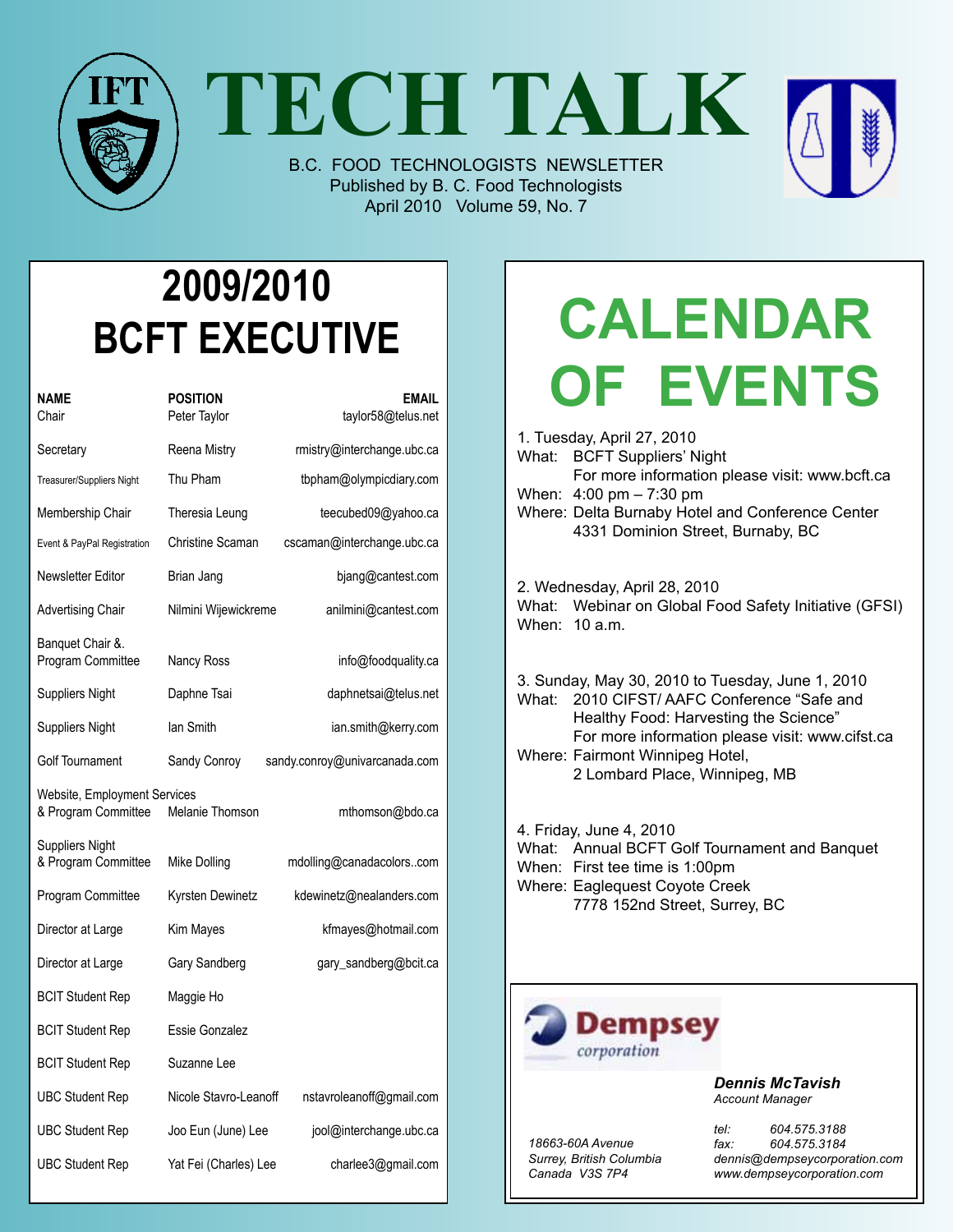

**TECH TALK**

B.C. FOOD TECHNOLOGISTS NEWSLETTER Published by B. C. Food Technologists April 2010 Volume 59, No. 7



| NAME<br>Chair                                       | <b>POSITION</b><br>Peter Taylor | <b>EMAIL</b><br>taylor58@telus.net |
|-----------------------------------------------------|---------------------------------|------------------------------------|
| Secretary                                           | Reena Mistry                    | rmistry@interchange.ubc.ca         |
| Treasurer/Suppliers Night                           | Thu Pham                        | tbpham@olympicdiary.com            |
| Membership Chair                                    | Theresia Leung                  | teecubed09@yahoo.ca                |
| Event & PayPal Registration                         | Christine Scaman                | cscaman@interchange.ubc.ca         |
| Newsletter Editor                                   | Brian Jang                      | bjang@cantest.com                  |
| <b>Advertising Chair</b>                            | Nilmini Wijewickreme            | anilmini@cantest.com               |
| Banquet Chair &.<br>Program Committee               | Nancy Ross                      | info@foodquality.ca                |
| Suppliers Night                                     | Daphne Tsai                     | daphnetsai@telus.net               |
| <b>Suppliers Night</b>                              | lan Smith                       | ian.smith@kerry.com                |
| Golf Tournament                                     | Sandy Conroy                    | sandy.conroy@univarcanada.com      |
| Website, Employment Services<br>& Program Committee | Melanie Thomson                 | mthomson@bdo.ca                    |
| Suppliers Night<br>& Program Committee              | Mike Dolling                    | mdolling@canadacolorscom           |
| Program Committee                                   | Kyrsten Dewinetz                | kdewinetz@nealanders.com           |
| Director at Large                                   | Kim Mayes                       | kfmayes@hotmail.com                |
| Director at Large                                   | Gary Sandberg                   | gary_sandberg@bcit.ca              |
| <b>BCIT Student Rep</b>                             | Maggie Ho                       |                                    |
| <b>BCIT Student Rep</b>                             | Essie Gonzalez                  |                                    |
| <b>BCIT Student Rep</b>                             | Suzanne Lee                     |                                    |
| <b>UBC Student Rep</b>                              | Nicole Stavro-Leanoff           | nstavroleanoff@gmail.com           |
| <b>UBC Student Rep</b>                              | Joo Eun (June) Lee              | jool@interchange.ubc.ca            |
| <b>UBC Student Rep</b>                              | Yat Fei (Charles) Lee           | charlee3@gmail.com                 |

# **Calendar Of Events**

1. Tuesday, April 27, 2010 What: BCFT Suppliers' Night For more information please visit: www.bcft.ca When: 4:00 pm – 7:30 pm Where: Delta Burnaby Hotel and Conference Center 4331 Dominion Street, Burnaby, BC

2. Wednesday, April 28, 2010 What: Webinar on Global Food Safety Initiative (GFSI) When: 10 a.m.

3. Sunday, May 30, 2010 to Tuesday, June 1, 2010 What: 2010 CIFST/ AAFC Conference "Safe and Healthy Food: Harvesting the Science" For more information please visit: www.cifst.ca Where: Fairmont Winnipeg Hotel, 2 Lombard Place, Winnipeg, MB

4. Friday, June 4, 2010 What: Annual BCFT Golf Tournament and Banquet When: First tee time is 1:00pm Where: Eaglequest Coyote Creek 7778 152nd Street, Surrey, BC



*Dennis McTavish Account Manager*

*18663-60A Avenue Surrey, British Columbia Canada V3S 7P4*

*tel: 604.575.3188 fax: 604.575.3184 dennis@dempseycorporation.com www.dempseycorporation.com*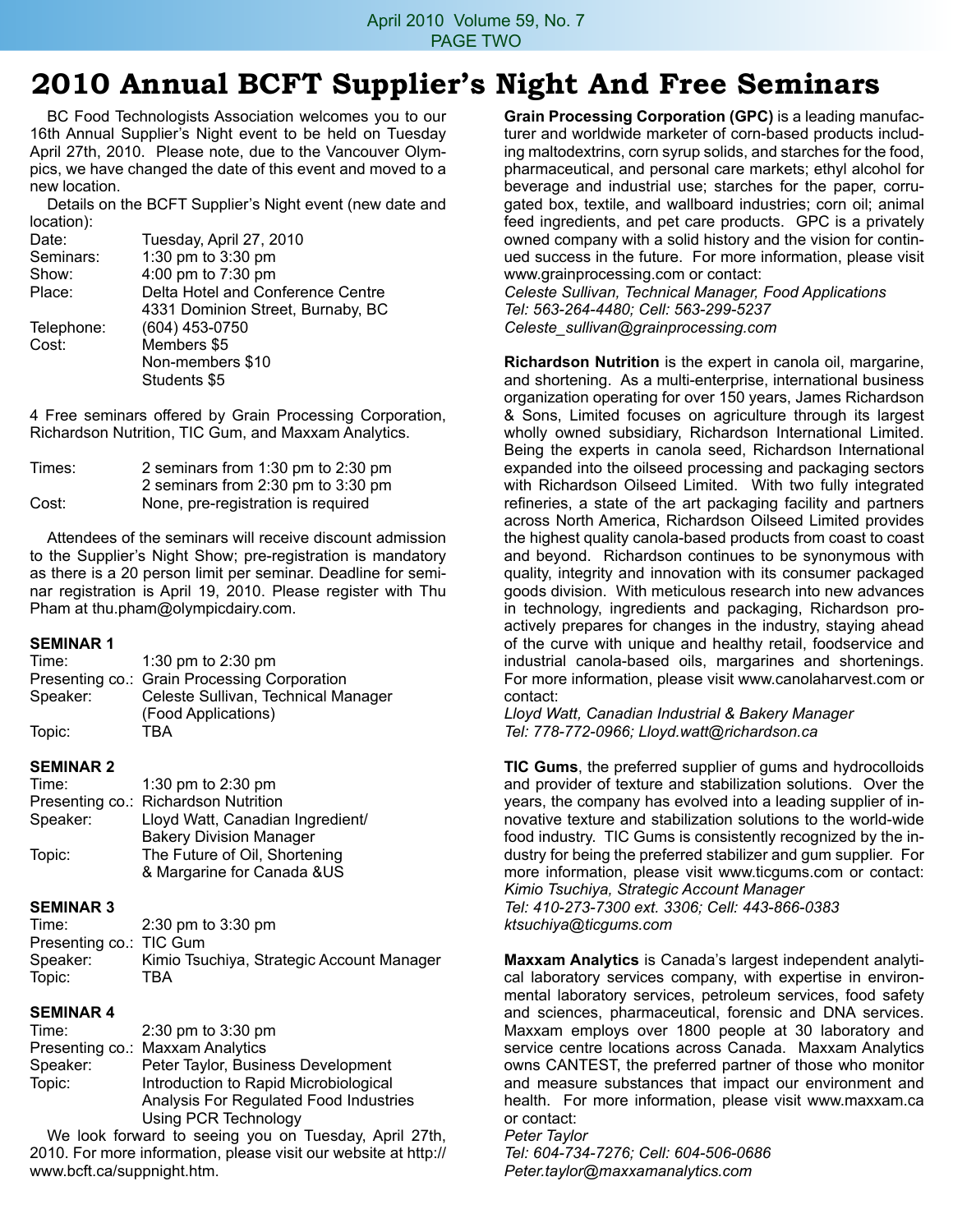## **2010 Annual BCFT Supplier's Night And Free Seminars**

BC Food Technologists Association welcomes you to our 16th Annual Supplier's Night event to be held on Tuesday April 27th, 2010. Please note, due to the Vancouver Olympics, we have changed the date of this event and moved to a new location.

Details on the BCFT Supplier's Night event (new date and location):

| Date:      | Tuesday, April 27, 2010           |
|------------|-----------------------------------|
| Seminars:  | 1:30 pm to 3:30 pm                |
| Show:      | 4:00 pm to 7:30 pm                |
| Place:     | Delta Hotel and Conference Centre |
|            | 4331 Dominion Street, Burnaby, BC |
| Telephone: | (604) 453-0750                    |
| Cost:      | Members \$5                       |
|            | Non-members \$10                  |
|            | Students \$5                      |
|            |                                   |

4 Free seminars offered by Grain Processing Corporation, Richardson Nutrition, TIC Gum, and Maxxam Analytics.

| Times: | 2 seminars from 1:30 pm to 2:30 pm |
|--------|------------------------------------|
|        | 2 seminars from 2:30 pm to 3:30 pm |
| Cost:  | None, pre-registration is required |

Attendees of the seminars will receive discount admission to the Supplier's Night Show; pre-registration is mandatory as there is a 20 person limit per seminar. Deadline for seminar registration is April 19, 2010. Please register with Thu Pham at thu.pham@olympicdairy.com.

#### **Seminar 1**

| Time:    | 1:30 pm to 2:30 pm                           |
|----------|----------------------------------------------|
|          | Presenting co.: Grain Processing Corporation |
| Speaker: | Celeste Sullivan, Technical Manager          |
|          | (Food Applications)                          |
| Topic:   | TRA                                          |

#### **Seminar 2**

| Time:    | 1:30 pm to 2:30 pm                   |
|----------|--------------------------------------|
|          | Presenting co.: Richardson Nutrition |
| Speaker: | Lloyd Watt, Canadian Ingredient/     |
|          | <b>Bakery Division Manager</b>       |
| Topic:   | The Future of Oil, Shortening        |
|          | & Margarine for Canada &US           |

#### **Seminar 3**

| Time:                   | $2:30 \text{ pm}$ to $3:30 \text{ pm}$    |
|-------------------------|-------------------------------------------|
| Presenting co.: TIC Gum |                                           |
| Speaker:                | Kimio Tsuchiya, Strategic Account Manager |
| Topic:                  | TBA                                       |

#### **Seminar 4**

| Time:    | $2:30 \text{ pm}$ to $3:30 \text{ pm}$ |
|----------|----------------------------------------|
|          | Presenting co.: Maxxam Analytics       |
| Speaker: | Peter Taylor, Business Development     |
| Topic:   | Introduction to Rapid Microbiological  |
|          | Analysis For Regulated Food Industries |
|          | <b>Using PCR Technology</b>            |
|          |                                        |

We look forward to seeing you on Tuesday, April 27th, 2010. For more information, please visit our website at http:// www.bcft.ca/suppnight.htm.

**Grain Processing Corporation (GPC)** is a leading manufacturer and worldwide marketer of corn-based products including maltodextrins, corn syrup solids, and starches for the food, pharmaceutical, and personal care markets; ethyl alcohol for beverage and industrial use; starches for the paper, corrugated box, textile, and wallboard industries; corn oil; animal feed ingredients, and pet care products. GPC is a privately owned company with a solid history and the vision for continued success in the future. For more information, please visit www.grainprocessing.com or contact:

*Celeste Sullivan, Technical Manager, Food Applications Tel: 563-264-4480; Cell: 563-299-5237 Celeste\_sullivan@grainprocessing.com*

**Richardson Nutrition** is the expert in canola oil, margarine, and shortening. As a multi-enterprise, international business organization operating for over 150 years, James Richardson & Sons, Limited focuses on agriculture through its largest wholly owned subsidiary, Richardson International Limited. Being the experts in canola seed, Richardson International expanded into the oilseed processing and packaging sectors with Richardson Oilseed Limited. With two fully integrated refineries, a state of the art packaging facility and partners across North America, Richardson Oilseed Limited provides the highest quality canola-based products from coast to coast and beyond. Richardson continues to be synonymous with quality, integrity and innovation with its consumer packaged goods division. With meticulous research into new advances in technology, ingredients and packaging, Richardson proactively prepares for changes in the industry, staying ahead of the curve with unique and healthy retail, foodservice and industrial canola-based oils, margarines and shortenings. For more information, please visit www.canolaharvest.com or contact:

*Lloyd Watt, Canadian Industrial & Bakery Manager Tel: 778-772-0966; Lloyd.watt@richardson.ca*

**TIC Gums**, the preferred supplier of gums and hydrocolloids and provider of texture and stabilization solutions. Over the years, the company has evolved into a leading supplier of innovative texture and stabilization solutions to the world-wide food industry. TIC Gums is consistently recognized by the industry for being the preferred stabilizer and gum supplier. For more information, please visit www.ticgums.com or contact: *Kimio Tsuchiya, Strategic Account Manager*

*Tel: 410-273-7300 ext. 3306; Cell: 443-866-0383 ktsuchiya@ticgums.com*

**Maxxam Analytics** is Canada's largest independent analytical laboratory services company, with expertise in environmental laboratory services, petroleum services, food safety and sciences, pharmaceutical, forensic and DNA services. Maxxam employs over 1800 people at 30 laboratory and service centre locations across Canada. Maxxam Analytics owns CANTEST, the preferred partner of those who monitor and measure substances that impact our environment and health. For more information, please visit www.maxxam.ca or contact:

*Peter Taylor Tel: 604-734-7276; Cell: 604-506-0686 Peter.taylor@maxxamanalytics.com*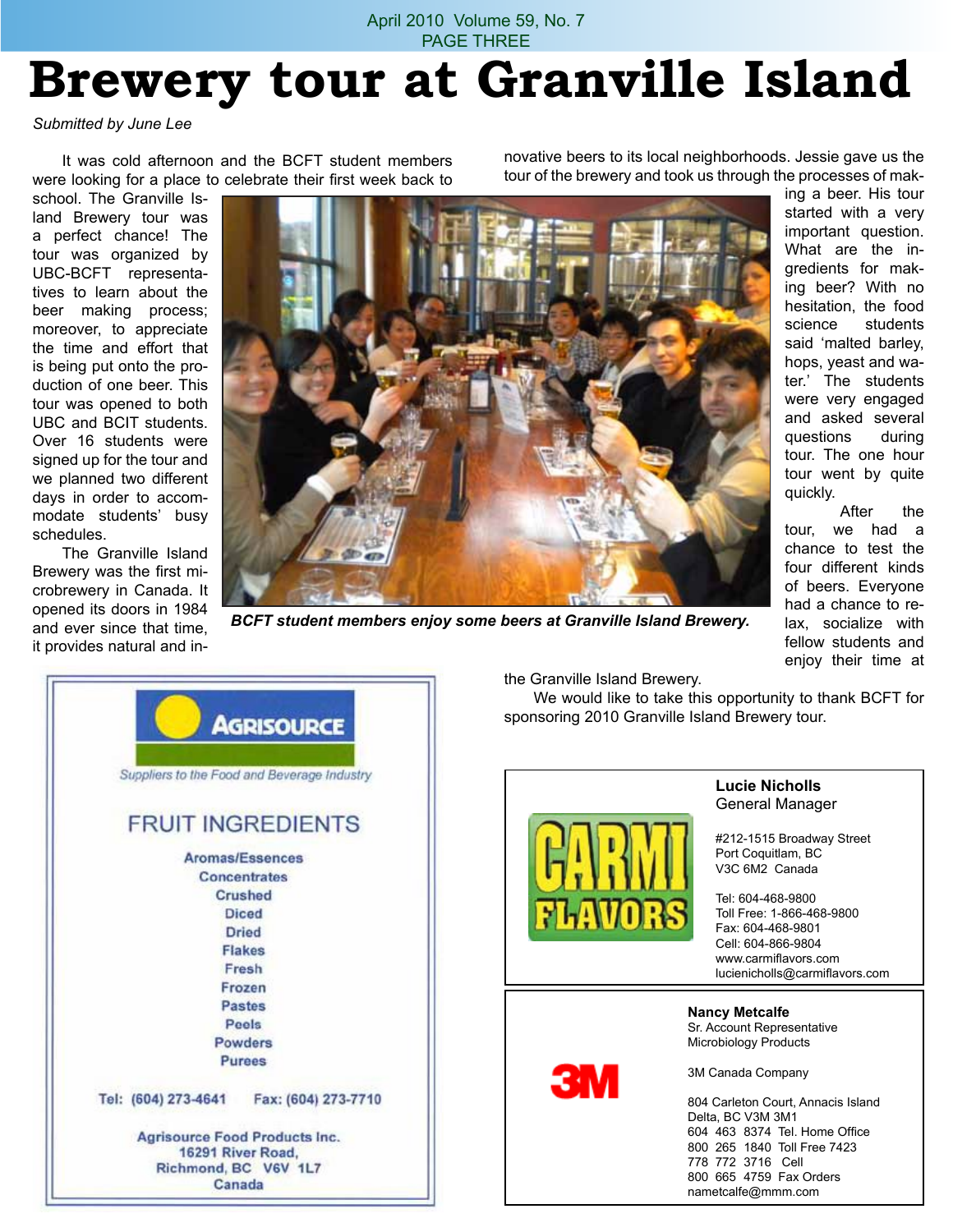### April 2010 Volume 59, No. 7 PAGE THREE **Brewery tour at Granville Island**

#### *Submitted by June Lee*

It was cold afternoon and the BCFT student members were looking for a place to celebrate their first week back to

school. The Granville Island Brewery tour was a perfect chance! The tour was organized by UBC-BCFT representatives to learn about the beer making process: moreover, to appreciate the time and effort that is being put onto the production of one beer. This tour was opened to both UBC and BCIT students. Over 16 students were signed up for the tour and we planned two different days in order to accommodate students' busy schedules.

The Granville Island Brewery was the first microbrewery in Canada. It opened its doors in 1984 and ever since that time, it provides natural and in-



*BCFT student members enjoy some beers at Granville Island Brewery.*

ing a beer. His tour started with a very important question. What are the ingredients for making beer? With no hesitation, the food science students said 'malted barley, hops, yeast and water.' The students were very engaged and asked several questions during tour. The one hour tour went by quite

> After the tour, we had a chance to test the four different kinds of beers. Everyone had a chance to relax, socialize with fellow students and enjoy their time at

quickly.

|                     | <b>AGRISOURCE</b>                           |
|---------------------|---------------------------------------------|
|                     | Suppliers to the Food and Beverage Industry |
|                     | <b>FRUIT INGREDIENTS</b>                    |
|                     | <b>Aromas/Essences</b>                      |
|                     | Concentrates                                |
|                     | <b>Crushed</b>                              |
|                     | <b>Diced</b>                                |
|                     | <b>Dried</b>                                |
|                     | <b>Flakes</b>                               |
|                     | Fresh                                       |
|                     | Frozen                                      |
|                     | Pastes                                      |
|                     | Peels                                       |
|                     | Powders                                     |
|                     | <b>Purees</b>                               |
| Tel: (604) 273-4641 | Fax: (604) 273-7710                         |
|                     | <b>Agrisource Food Products Inc.</b>        |
|                     | 16291 River Road,                           |
|                     | Richmond, BC V6V 1L7<br>Canada              |

the Granville Island Brewery.

We would like to take this opportunity to thank BCFT for sponsoring 2010 Granville Island Brewery tour.



#### **Lucie Nicholls** General Manager

#212-1515 Broadway Street Port Coquitlam, BC V3C 6M2 Canada

Tel: 604-468-9800 Toll Free: 1-866-468-9800 Fax: 604-468-9801 Cell: 604-866-9804 www.carmiflavors.com lucienicholls@carmiflavors.com

**Nancy Metcalfe** Sr. Account Representative Microbiology Products

3M Canada Company

804 Carleton Court, Annacis Island Delta, BC V3M 3M1 604 463 8374 Tel. Home Office 800 265 1840 Toll Free 7423 778 772 3716 Cell 800 665 4759 Fax Orders nametcalfe@mmm.com

novative beers to its local neighborhoods. Jessie gave us the tour of the brewery and took us through the processes of mak-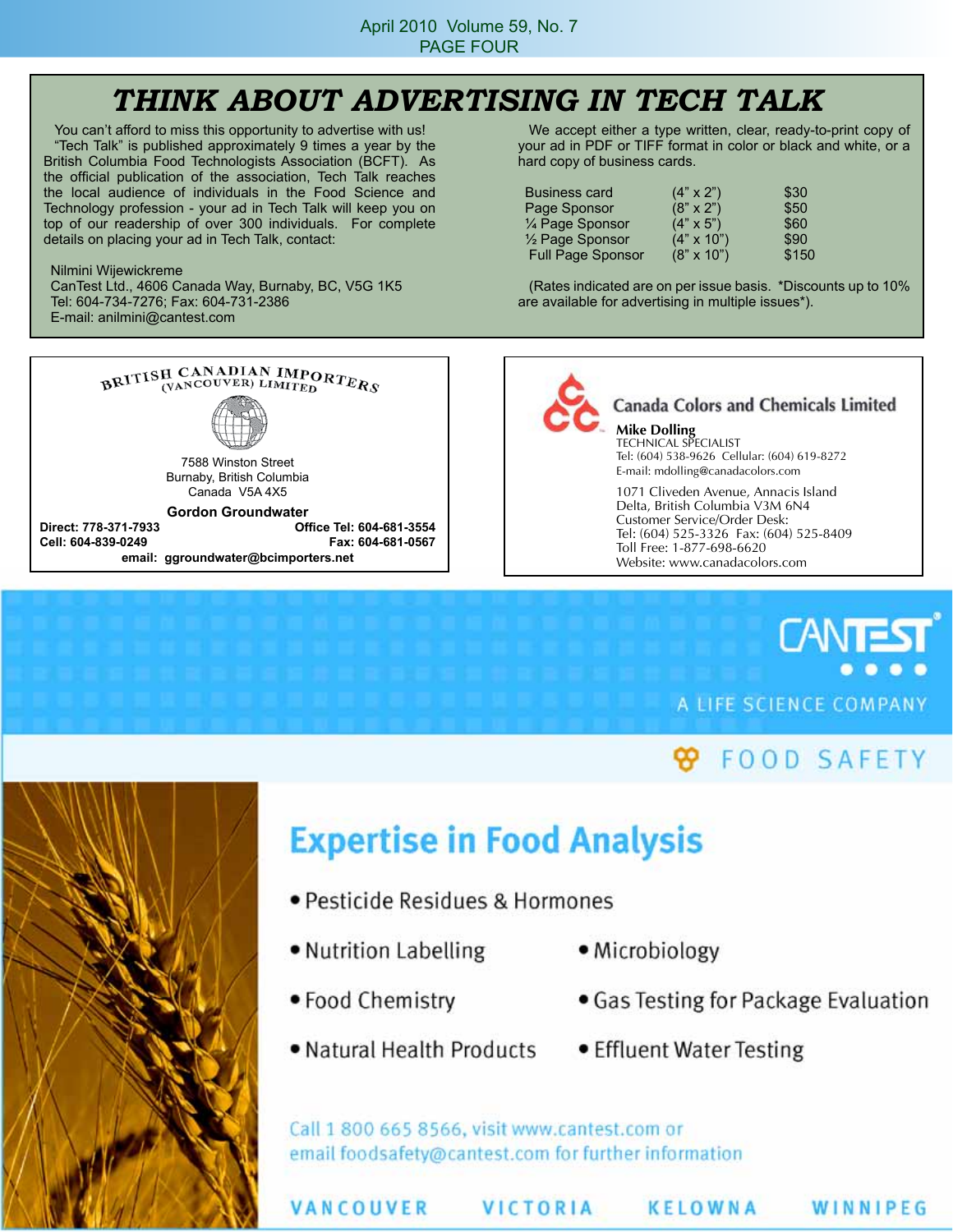## *THINK ABOUT ADVERTISING IN TECH TALK*

You can't afford to miss this opportunity to advertise with us! "Tech Talk" is published approximately 9 times a year by the British Columbia Food Technologists Association (BCFT). As the official publication of the association, Tech Talk reaches the local audience of individuals in the Food Science and Technology profession - your ad in Tech Talk will keep you on top of our readership of over 300 individuals. For complete details on placing your ad in Tech Talk, contact:

Nilmini Wijewickreme CanTest Ltd., 4606 Canada Way, Burnaby, BC, V5G 1K5 Tel: 604-734-7276; Fax: 604-731-2386 E-mail: anilmini@cantest.com

We accept either a type written, clear, ready-to-print copy of your ad in PDF or TIFF format in color or black and white, or a hard copy of business cards.

| <b>Business card</b>     | $(4" \times 2")$  | \$30  |
|--------------------------|-------------------|-------|
| Page Sponsor             | $(8" \times 2")$  | \$50  |
| 1/4 Page Sponsor         | $(4" \times 5")$  | \$60  |
| 1/2 Page Sponsor         | $(4" \times 10")$ | \$90  |
| <b>Full Page Sponsor</b> | $(8" \times 10")$ | \$150 |

(Rates indicated are on per issue basis. \*Discounts up to 10% are available for advertising in multiple issues\*).



**Cell: 604-839-0249 Fax: 604-681-0567 email: ggroundwater@bcimporters.net**

#### **Canada Colors and Chemicals Limited**

**Mike Dolling** TECHNICAL SPECIALIST Tel: (604) 538-9626 Cellular: (604) 619-8272 E-mail: mdolling@canadacolors.com

1071 Cliveden Avenue, Annacis Island Delta, British Columbia V3M 6N4 Customer Service/Order Desk: Tel: (604) 525-3326 Fax: (604) 525-8409 Toll Free: 1-877-698-6620 Website: www.canadacolors.com

# **CANTES** A LIFE SCIENCE COMPANY

## **FOOD SAFETY**



## **Expertise in Food Analysis**

- Pesticide Residues & Hormones
- Nutrition Labelling
	- Microbiology
- $\bullet$  Food Chemistry
- . Natural Health Products . Effluent Water Testing
- 

• Gas Testing for Package Evaluation

Call 1 800 665 8566, visit www.cantest.com or email foodsafety@cantest.com for further information

VANCOUVER

**VICTORIA** 

KELOWNA

WINNIPEG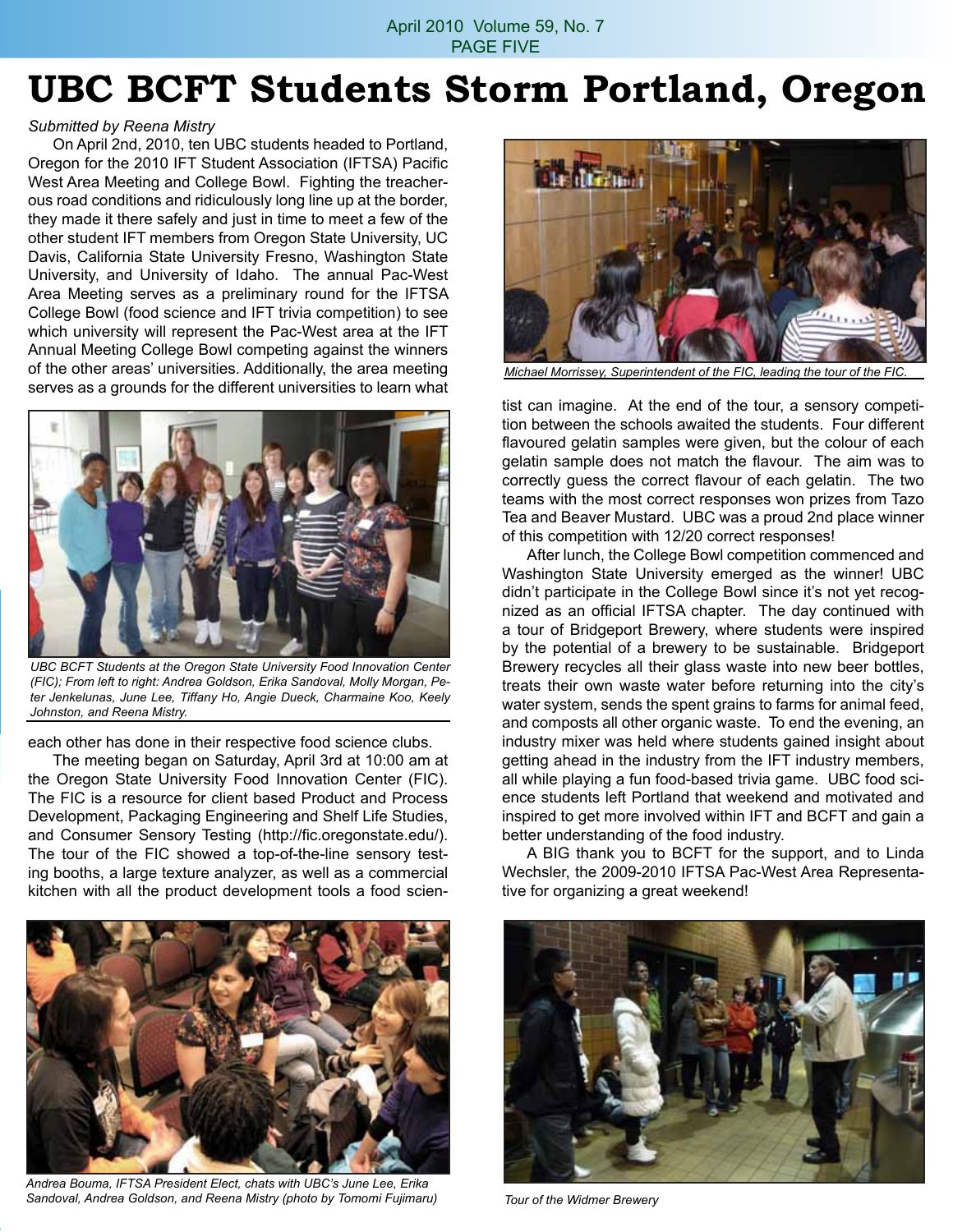## **UBC BCFT Students Storm Portland, Oregon**

#### *Submitted by Reena Mistry*

On April 2nd, 2010, ten UBC students headed to Portland, Oregon for the 2010 IFT Student Association (IFTSA) Pacific West Area Meeting and College Bowl. Fighting the treacherous road conditions and ridiculously long line up at the border, they made it there safely and just in time to meet a few of the other student IFT members from Oregon State University, UC Davis, California State University Fresno, Washington State University, and University of Idaho. The annual Pac-West Area Meeting serves as a preliminary round for the IFTSA College Bowl (food science and IFT trivia competition) to see which university will represent the Pac-West area at the IFT Annual Meeting College Bowl competing against the winners of the other areas' universities. Additionally, the area meeting serves as a grounds for the different universities to learn what



*UBC BCFT Students at the Oregon State University Food Innovation Center (FIC); From left to right: Andrea Goldson, Erika Sandoval, Molly Morgan, Peter Jenkelunas, June Lee, Tiffany Ho, Angie Dueck, Charmaine Koo, Keely Johnston, and Reena Mistry.*

each other has done in their respective food science clubs.

The meeting began on Saturday, April 3rd at 10:00 am at the Oregon State University Food Innovation Center (FIC). The FIC is a resource for client based Product and Process Development, Packaging Engineering and Shelf Life Studies, and Consumer Sensory Testing (http://fic.oregonstate.edu/). The tour of the FIC showed a top-of-the-line sensory testing booths, a large texture analyzer, as well as a commercial kitchen with all the product development tools a food scien-



*Andrea Bouma, IFTSA President Elect, chats with UBC's June Lee, Erika Sandoval, Andrea Goldson, and Reena Mistry (photo by Tomomi Fujimaru)*



*Michael Morrissey, Superintendent of the FIC, leading the tour of the FIC.*

tist can imagine. At the end of the tour, a sensory competition between the schools awaited the students. Four different flavoured gelatin samples were given, but the colour of each gelatin sample does not match the flavour. The aim was to correctly guess the correct flavour of each gelatin. The two teams with the most correct responses won prizes from Tazo Tea and Beaver Mustard. UBC was a proud 2nd place winner of this competition with 12/20 correct responses!

After lunch, the College Bowl competition commenced and Washington State University emerged as the winner! UBC didn't participate in the College Bowl since it's not yet recognized as an official IFTSA chapter. The day continued with a tour of Bridgeport Brewery, where students were inspired by the potential of a brewery to be sustainable. Bridgeport Brewery recycles all their glass waste into new beer bottles, treats their own waste water before returning into the city's water system, sends the spent grains to farms for animal feed, and composts all other organic waste. To end the evening, an industry mixer was held where students gained insight about getting ahead in the industry from the IFT industry members, all while playing a fun food-based trivia game. UBC food science students left Portland that weekend and motivated and inspired to get more involved within IFT and BCFT and gain a better understanding of the food industry.

A BIG thank you to BCFT for the support, and to Linda Wechsler, the 2009-2010 IFTSA Pac-West Area Representative for organizing a great weekend!



*Tour of the Widmer Brewery*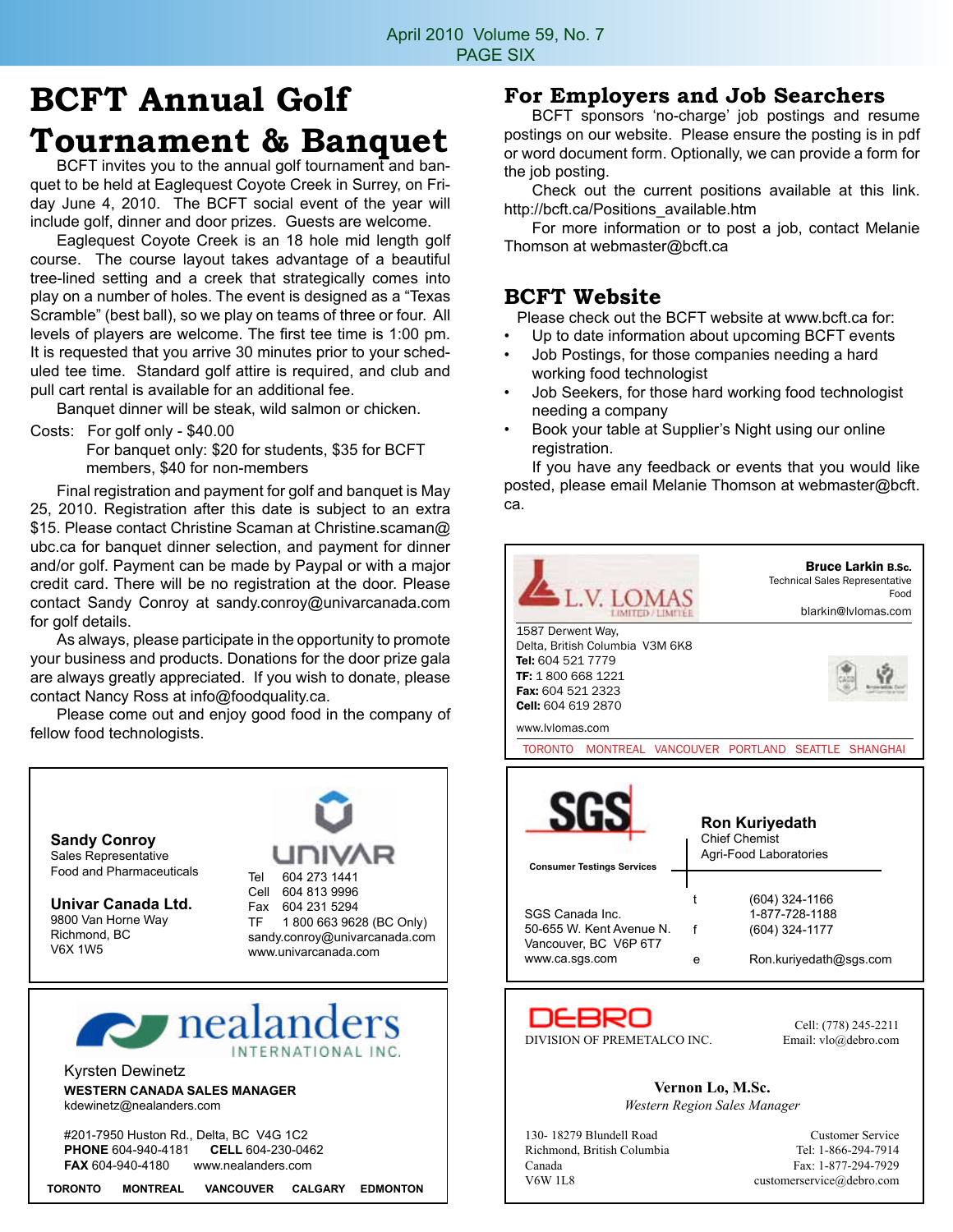## **BCFT Annual Golf Tournament & Banquet**<br>BCFT invites you to the annual golf tournament and ban-

quet to be held at Eaglequest Coyote Creek in Surrey, on Friday June 4, 2010. The BCFT social event of the year will include golf, dinner and door prizes. Guests are welcome.

Eaglequest Coyote Creek is an 18 hole mid length golf course. The course layout takes advantage of a beautiful tree-lined setting and a creek that strategically comes into play on a number of holes. The event is designed as a "Texas Scramble" (best ball), so we play on teams of three or four. All levels of players are welcome. The first tee time is 1:00 pm. It is requested that you arrive 30 minutes prior to your scheduled tee time. Standard golf attire is required, and club and pull cart rental is available for an additional fee.

Banquet dinner will be steak, wild salmon or chicken.

Costs: For golf only - \$40.00 For banquet only: \$20 for students, \$35 for BCFT members, \$40 for non-members

Final registration and payment for golf and banquet is May 25, 2010. Registration after this date is subject to an extra \$15. Please contact Christine Scaman at Christine.scaman@ ubc.ca for banquet dinner selection, and payment for dinner and/or golf. Payment can be made by Paypal or with a major credit card. There will be no registration at the door. Please contact Sandy Conroy at sandy.conroy@univarcanada.com for golf details.

As always, please participate in the opportunity to promote your business and products. Donations for the door prize gala are always greatly appreciated. If you wish to donate, please contact Nancy Ross at info@foodquality.ca.

Please come out and enjoy good food in the company of fellow food technologists.



#### **For Employers and Job Searchers**

BCFT sponsors 'no-charge' job postings and resume postings on our website. Please ensure the posting is in pdf or word document form. Optionally, we can provide a form for the job posting.

Check out the current positions available at this link. http://bcft.ca/Positions\_available.htm

For more information or to post a job, contact Melanie Thomson at webmaster@bcft.ca

#### **BCFT Website**

Please check out the BCFT website at www.bcft.ca for:

- Up to date information about upcoming BCFT events
- Job Postings, for those companies needing a hard working food technologist
- Job Seekers, for those hard working food technologist needing a company
- Book your table at Supplier's Night using our online registration.

If you have any feedback or events that you would like posted, please email Melanie Thomson at webmaster@bcft. ca.



| 130-18279 Blundell Road    |
|----------------------------|
| Richmond, British Columbia |
| Canada                     |
| V6W 1L8                    |

Customer Service Tel: 1-866-294-7914 Fax: 1-877-294-7929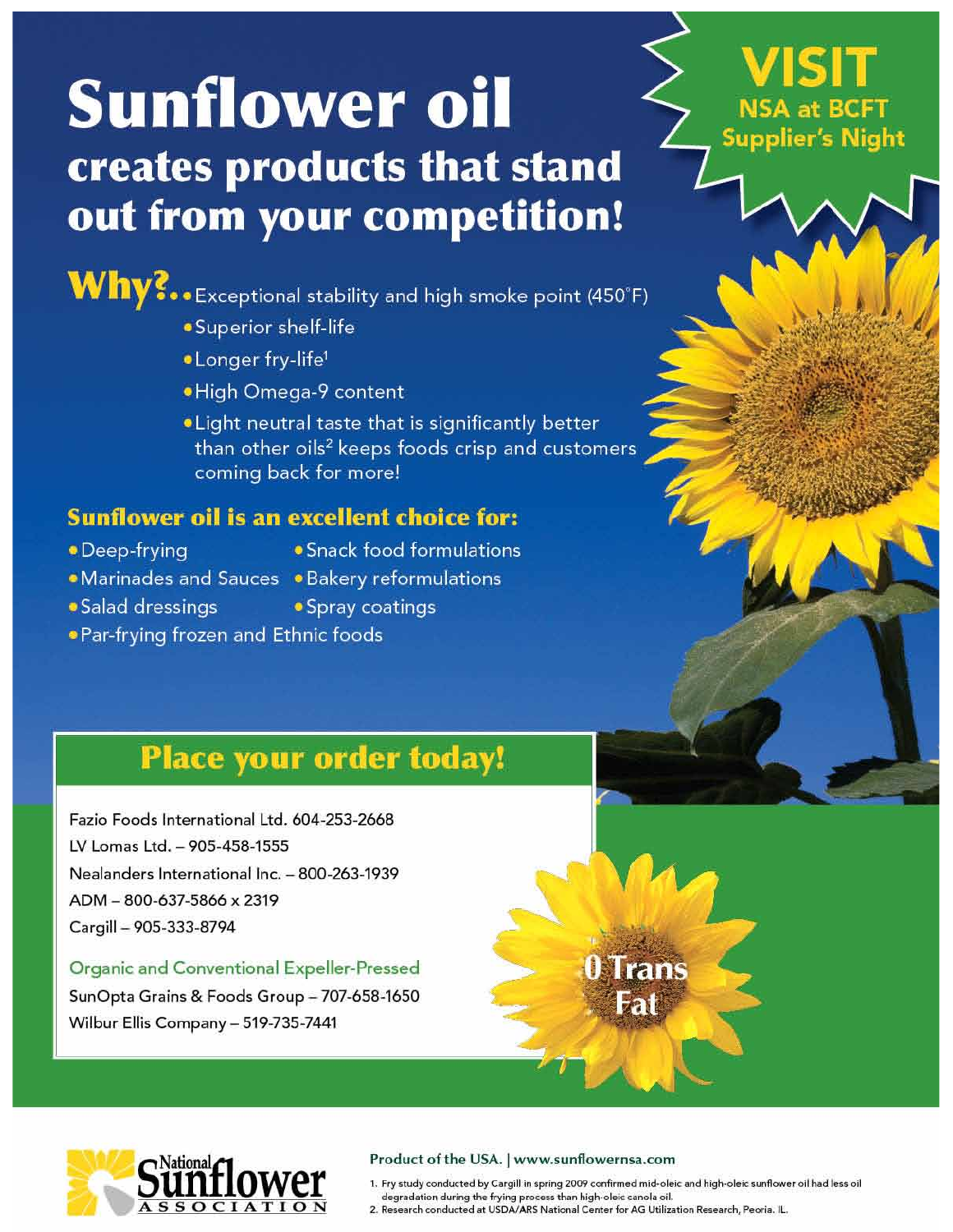# **Sunflower oil** creates products that stand out from your competition!

 $W$ hy?...Exceptional stability and high smoke point (450°F)

- ·Superior shelf-life
- . Longer fry-life<sup>1</sup>
- ·High Omega-9 content
- . Light neutral taste that is significantly better than other oils<sup>2</sup> keeps foods crisp and customers coming back for more!

### **Sunflower oil is an excellent choice for:**

- Deep-frying
- · Snack food formulations
- 
- Marinades and Sauces Bakery reformulations
- Salad dressings
- Spray coatings
- . Par-frying frozen and Ethnic foods

## **Place your order today!**

Fazio Foods International Ltd. 604-253-2668 LV Lomas Ltd. - 905-458-1555 Nealanders International Inc. - 800-263-1939 ADM - 800-637-5866 x 2319 Cargill - 905-333-8794

#### **Organic and Conventional Expeller-Pressed**

SunOpta Grains & Foods Group - 707-658-1650 Wilbur Ellis Company - 519-735-7441



#### Product of the USA. | www.sunflowernsa.com

1. Fry study conducted by Cargill in spring 2009 confirmed mid-oleic and high-oleic sunflower oil had less oil degradation during the frying process than high-oleic canola oil.<br>2. Research conducted at USDA/ARS National Center for AG Utilization Research, Peoria. IL.

0 Trans

 $\overline{2}$ 

**Supplier's Night**